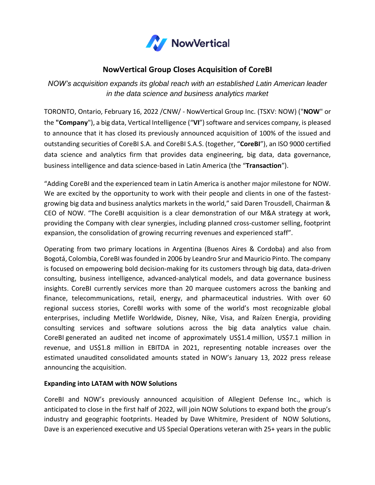

# **NowVertical Group Closes Acquisition of CoreBI**

*NOW's acquisition expands its global reach with an established Latin American leader in the data science and business analytics market*

TORONTO, Ontario, February 16, 2022 /CNW/ - NowVertical Group Inc. (TSXV: NOW) ("**NOW**" or the **"Company**"), a big data, Vertical Intelligence ("**VI**") software and services company, is pleased to announce that it has closed its previously announced acquisition of 100% of the issued and outstanding securities of CoreBI S.A. and CoreBI S.A.S. (together, "**CoreBI**"), an ISO 9000 certified data science and analytics firm that provides data engineering, big data, data governance, business intelligence and data science-based in Latin America (the "**Transaction**").

"Adding CoreBI and the experienced team in Latin America is another major milestone for NOW. We are excited by the opportunity to work with their people and clients in one of the fastestgrowing big data and business analytics markets in the world," said Daren Trousdell, Chairman & CEO of NOW. "The CoreBI acquisition is a clear demonstration of our M&A strategy at work, providing the Company with clear synergies, including planned cross-customer selling, footprint expansion, the consolidation of growing recurring revenues and experienced staff".

Operating from two primary locations in Argentina (Buenos Aires & Cordoba) and also from Bogotá, Colombia, CoreBI wasfounded in 2006 by Leandro Srur and Mauricio Pinto. The company is focused on empowering bold decision-making for its customers through big data, data-driven consulting, business intelligence, advanced-analytical models, and data governance business insights. CoreBI currently services more than 20 marquee customers across the banking and finance, telecommunications, retail, energy, and pharmaceutical industries. With over 60 regional success stories, CoreBI works with some of the world's most recognizable global enterprises, including Metlife Worldwide, Disney, Nike, Visa, and Raízen Energia, providing consulting services and software solutions across the big data analytics value chain. CoreBI generated an audited net income of approximately US\$1.4 million, US\$7.1 million in revenue, and US\$1.8 million in EBITDA in 2021, representing notable increases over the estimated unaudited consolidated amounts stated in NOW's January 13, 2022 press release announcing the acquisition.

## **Expanding into LATAM with NOW Solutions**

CoreBI and NOW's previously announced acquisition of Allegient Defense Inc., which is anticipated to close in the first half of 2022, will join NOW Solutions to expand both the group's industry and geographic footprints. Headed by Dave Whitmire, President of NOW Solutions, Dave is an experienced executive and US Special Operations veteran with 25+ years in the public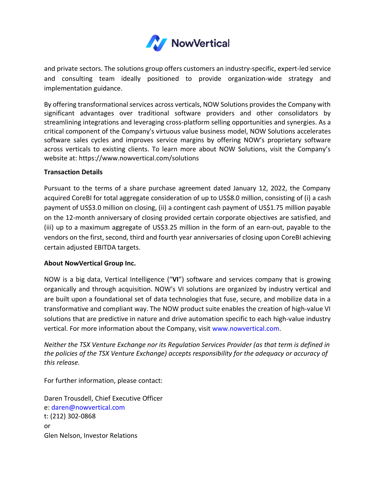

and private sectors. The solutions group offers customers an industry-specific, expert-led service and consulting team ideally positioned to provide organization-wide strategy and implementation guidance.

By offering transformational services across verticals, NOW Solutions provides the Company with significant advantages over traditional software providers and other consolidators by streamlining integrations and leveraging cross-platform selling opportunities and synergies. As a critical component of the Company's virtuous value business model, NOW Solutions accelerates software sales cycles and improves service margins by offering NOW's proprietary software across verticals to existing clients. To learn more about NOW Solutions, visit the Company's website at: <https://www.nowvertical.com/solutions>

### **Transaction Details**

Pursuant to the terms of a share purchase agreement dated January 12, 2022, the Company acquired CoreBI for total aggregate consideration of up to US\$8.0 million, consisting of (i) a cash payment of US\$3.0 million on closing, (ii) a contingent cash payment of US\$1.75 million payable on the 12-month anniversary of closing provided certain corporate objectives are satisfied, and (iii) up to a maximum aggregate of US\$3.25 million in the form of an earn-out, payable to the vendors on the first, second, third and fourth year anniversaries of closing upon CoreBI achieving certain adjusted EBITDA targets.

### **About NowVertical Group Inc.**

NOW is a big data, Vertical Intelligence ("**VI**") software and services company that is growing organically and through acquisition. NOW's VI solutions are organized by industry vertical and are built upon a foundational set of data technologies that fuse, secure, and mobilize data in a transformative and compliant way. The NOW product suite enables the creation of high-value VI solutions that are predictive in nature and drive automation specific to each high-value industry vertical. For more information about the Company, visit [www.nowvertical.com.](http://www.nowvertical.com/)

*Neither the TSX Venture Exchange nor its Regulation Services Provider (as that term is defined in the policies of the TSX Venture Exchange) accepts responsibility for the adequacy or accuracy of this release.*

For further information, please contact:

Daren Trousdell, Chief Executive Officer e: [daren@nowvertical.com](mailto:daren@nowvertical.com) t: (212) 302-0868 or Glen Nelson, Investor Relations